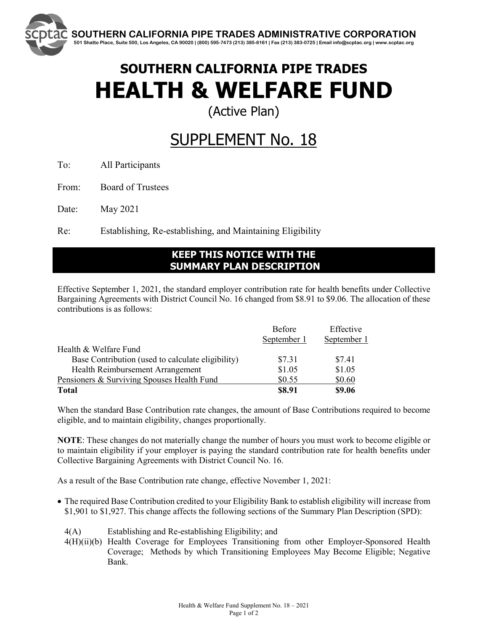

(Active Plan)

## SUPPLEMENT No. 18

To: All Participants

From: Board of Trustees

Date: May 2021

Re: Establishing, Re-establishing, and Maintaining Eligibility

## **KEEP THIS NOTICE WITH THE SUMMARY PLAN DESCRIPTION**

Effective September 1, 2021, the standard employer contribution rate for health benefits under Collective Bargaining Agreements with District Council No. 16 changed from \$8.91 to \$9.06. The allocation of these contributions is as follows:

|                                                   | <b>Before</b> | Effective   |
|---------------------------------------------------|---------------|-------------|
|                                                   | September 1   | September 1 |
| Health & Welfare Fund                             |               |             |
| Base Contribution (used to calculate eligibility) | \$7.31        | \$7.41      |
| Health Reimbursement Arrangement                  | \$1.05        | \$1.05      |
| Pensioners & Surviving Spouses Health Fund        | \$0.55        | \$0.60      |
| <b>Total</b>                                      | \$8.91        | \$9.06      |

When the standard Base Contribution rate changes, the amount of Base Contributions required to become eligible, and to maintain eligibility, changes proportionally.

**NOTE**: These changes do not materially change the number of hours you must work to become eligible or to maintain eligibility if your employer is paying the standard contribution rate for health benefits under Collective Bargaining Agreements with District Council No. 16.

As a result of the Base Contribution rate change, effective November 1, 2021:

- The required Base Contribution credited to your Eligibility Bank to establish eligibility will increase from \$1,901 to \$1,927. This change affects the following sections of the Summary Plan Description (SPD):
	- 4(A) Establishing and Re-establishing Eligibility; and
	- 4(H)(ii)(b) Health Coverage for Employees Transitioning from other Employer-Sponsored Health Coverage; Methods by which Transitioning Employees May Become Eligible; Negative Bank.